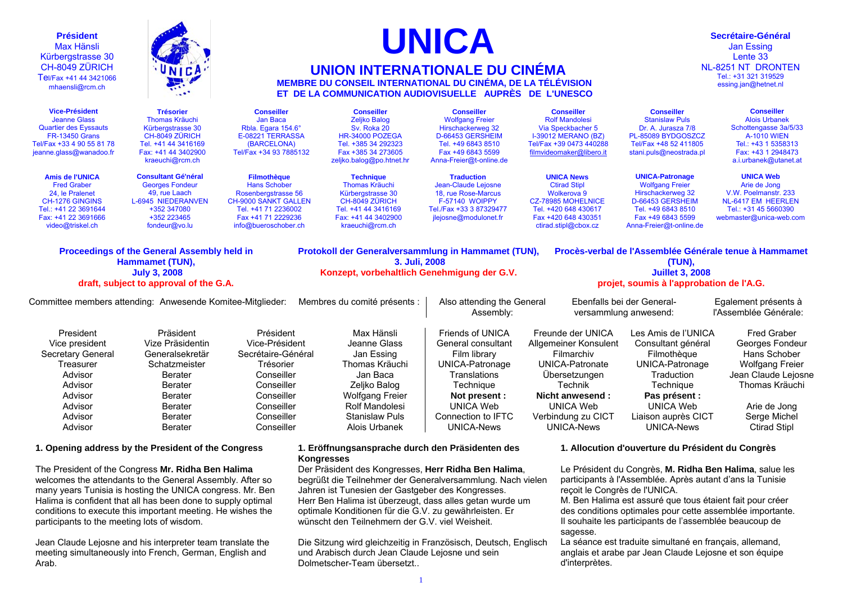| <b>Président</b><br><b>Max Hänsli</b><br>Kürbergstrasse 30<br>CH-8049 ZÜRICH<br>Tel/Fax +41 44 3421066<br>mhaensli@rcm.ch                                     | UNICA                                                                                                                                                                  |                                                                                                                                                                      | <b>UNICA</b><br><b>UNION INTERNATIONALE DU CINÉMA</b><br>MEMBRE DU CONSEIL INTERNATIONAL DU CINÉMA, DE LA TÉLÉVISION<br>ET DE LA COMMUNICATION AUDIOVISUELLE AUPRÈS DE L'UNESCO             |                                                                                                                                                                                        | Secrétaire-Général<br><b>Jan Essing</b><br>Lente 33<br>NL-8251 NT DRONTEN<br>Tel.: +31 321 319529<br>essing.jan@hetnet.nl                                                                 |                                                                                                                                                                                  |                                                                                                                                                                                 |  |  |
|---------------------------------------------------------------------------------------------------------------------------------------------------------------|------------------------------------------------------------------------------------------------------------------------------------------------------------------------|----------------------------------------------------------------------------------------------------------------------------------------------------------------------|---------------------------------------------------------------------------------------------------------------------------------------------------------------------------------------------|----------------------------------------------------------------------------------------------------------------------------------------------------------------------------------------|-------------------------------------------------------------------------------------------------------------------------------------------------------------------------------------------|----------------------------------------------------------------------------------------------------------------------------------------------------------------------------------|---------------------------------------------------------------------------------------------------------------------------------------------------------------------------------|--|--|
| <b>Vice-Président</b><br><b>Jeanne Glass</b><br><b>Quartier des Eyssauts</b><br><b>FR-13450 Grans</b><br>Tel/Fax +33 4 90 55 81 78<br>jeanne.glass@wanadoo.fr | <b>Trésorier</b><br><b>Thomas Kräuchi</b><br>Kürbergstrasse 30<br>CH-8049 ZÜRICH<br>Tel. +41 44 3416169<br>Fax: +41 44 3402900<br>kraeuchi@rcm.ch                      | <b>Conseiller</b><br>Jan Baca<br>Rbla. Egara 154.6°<br>E-08221 TERRASSA<br>(BARCELONA)<br>Tel/Fax +34 93 7885132                                                     | <b>Conseiller</b><br><b>Zeljko Balog</b><br>Sv. Roka 20<br>HR-34000 POZEGA<br>Tel. +385 34 292323<br>Fax +385 34 273605<br>zeljko.balog@po.htnet.hr                                         | <b>Conseiller</b><br><b>Wolfgang Freier</b><br>Hirschackerweg 32<br>D-66453 GERSHEIM<br>Tel. +49 6843 8510<br>Fax +49 6843 5599<br>Anna-Freier@t-online.de                             | <b>Conseiller</b><br><b>Rolf Mandolesi</b><br>Via Speckbacher 5<br><b>I-39012 MERANO (BZ)</b><br>Tel/Fax +39 0473 440288<br>filmvideomaker@libero.it                                      | <b>Conseiller</b><br><b>Stanislaw Puls</b><br>Dr. A. Jurasza 7/8<br>PL-85089 BYDGOSZCZ<br>Tel/Fax +48 52 411805<br>stani.puls@neostrada.pl                                       | <b>Conseiller</b><br><b>Alois Urbanek</b><br>Schottengasse 3a/5/33<br><b>A-1010 WIEN</b><br>Tel.: +43 1 5358313<br>Fax: +43 1 2948473<br>a.i.urbanek@utanet.at                  |  |  |
| <b>Amis de l'UNICA</b><br><b>Fred Graber</b><br>24, le Pralenet<br>CH-1276 GINGINS<br>Tel.: +41 22 3691644<br>Fax: +41 22 3691666<br>video@triskel.ch         | <b>Consultant Gé'néral</b><br><b>Georges Fondeur</b><br>49, rue Laach<br>L-6945 NIEDERANVEN<br>+352 347080<br>+352 223465<br>fondeur@vo.lu                             | <b>Filmothèque</b><br><b>Hans Schober</b><br>Rosenbergstrasse 56<br><b>CH-9000 SANKT GALLEN</b><br>Tel. +41 71 2236002<br>Fax +41 71 2229236<br>info@bueroschober.ch | <b>Technique</b><br><b>Thomas Kräuchi</b><br>Kürbergstrasse 30<br>CH-8049 ZÜRICH<br>Tel. +41 44 3416169<br>Fax: +41 44 3402900<br>kraeuchi@rcm.ch                                           | <b>Traduction</b><br>Jean-Claude Lejosne<br>18, rue Rose-Marcus<br><b>F-57140 WOIPPY</b><br>Tel./Fax +33 3 87329477<br>jlejosne@modulonet.fr                                           | <b>UNICA News</b><br><b>Ctirad Stipl</b><br><b>Wolkerova 9</b><br><b>CZ-78985 MOHELNICE</b><br>Tel. +420 648 430617<br>Fax +420 648 430351<br>ctirad.stipl@cbox.cz                        | <b>UNICA-Patronage</b><br><b>Wolfgang Freier</b><br>Hirschackerweg 32<br>D-66453 GERSHEIM<br>Tel. +49 6843 8510<br>Fax +49 6843 5599<br>Anna-Freier@t-online.de                  | <b>UNICA Web</b><br>Arie de Jong<br>V.W. Poelmanstr. 233<br>NL-6417 EM HEERLEN<br>Tel.: +31 45 5660390<br>webmaster@unica-web.com                                               |  |  |
|                                                                                                                                                               | Proceedings of the General Assembly held in<br>Hammamet (TUN),<br><b>July 3, 2008</b><br>draft, subject to approval of the G.A.                                        |                                                                                                                                                                      | Protokoll der Generalversammlung in Hammamet (TUN),<br>3. Juli, 2008<br>Konzept, vorbehaltlich Genehmigung der G.V.                                                                         |                                                                                                                                                                                        | Procès-verbal de l'Assemblée Générale tenue à Hammamet<br>(TUN),<br><b>Juillet 3, 2008</b><br>projet, soumis à l'approbation de l'A.G.                                                    |                                                                                                                                                                                  |                                                                                                                                                                                 |  |  |
| Committee members attending: Anwesende Komitee-Mitglieder:                                                                                                    |                                                                                                                                                                        |                                                                                                                                                                      | Membres du comité présents :                                                                                                                                                                | Also attending the General<br>Assembly:                                                                                                                                                | versammlung anwesend:                                                                                                                                                                     | Ebenfalls bei der General-                                                                                                                                                       | Egalement présents à<br>l'Assemblée Générale:                                                                                                                                   |  |  |
| President<br>Vice president<br>Secretary General<br>Treasurer<br>Advisor<br>Advisor<br>Advisor<br>Advisor<br>Advisor<br>Advisor                               | Präsident<br>Vize Präsidentin<br>Generalsekretär<br>Schatzmeister<br>Berater<br><b>Berater</b><br><b>Berater</b><br><b>Berater</b><br><b>Berater</b><br><b>Berater</b> | Président<br>Vice-Président<br>Secrétaire-Général<br>Trésorier<br>Conseiller<br>Conseiller<br>Conseiller<br>Conseiller<br>Conseiller<br>Conseiller                   | Max Hänsli<br>Jeanne Glass<br>Jan Essing<br>Thomas Kräuchi<br>Jan Baca<br>Zeljko Balog<br><b>Wolfgang Freier</b><br>Rolf Mandolesi<br><b>Stanislaw Puls</b><br>Alois Urbanek                | Friends of UNICA<br>General consultant<br>Film library<br>UNICA-Patronage<br>Translations<br>Technique<br>Not present :<br><b>UNICA Web</b><br>Connection to IFTC<br><b>UNICA-News</b> | Freunde der UNICA<br>Allgemeiner Konsulent<br>Filmarchiv<br>UNICA-Patronate<br>Übersetzungen<br>Technik<br>Nicht anwesend:<br><b>UNICA Web</b><br>Verbindung zu CICT<br><b>UNICA-News</b> | Les Amis de l'UNICA<br>Consultant général<br>Filmothèque<br>UNICA-Patronage<br>Traduction<br>Technique<br>Pas présent :<br><b>UNICA Web</b><br>Liaison auprès CICT<br>UNICA-News | <b>Fred Graber</b><br>Georges Fondeur<br>Hans Schober<br><b>Wolfgang Freier</b><br>Jean Claude Lejosne<br>Thomas Kräuchi<br>Arie de Jong<br>Serge Michel<br><b>Ctirad Stipl</b> |  |  |
|                                                                                                                                                               | 1. Opening address by the President of the Congress<br>The President of the Congress Mr. Ridha Ben Halima<br>welcomes the attendants to the Coneral Assembly, After so |                                                                                                                                                                      | 1. Eröffnungsansprache durch den Präsidenten des<br><b>Kongresses</b><br>Der Präsident des Kongresses, Herr Ridha Ben Halima,<br>bogrüßt die Teilnehmer der Coneralversammlung. Nach vielen |                                                                                                                                                                                        |                                                                                                                                                                                           | 1. Allocution d'ouverture du Président du Congrès<br>Le Président du Congrès, M. Ridha Ben Halima, salue les<br>porticinante à l'Accomplée, Après autent d'ans la Tunicie        |                                                                                                                                                                                 |  |  |

welcomes the attendants to the General Assembly. After so many years Tunisia is hosting the UNICA congress. Mr. Ben Halima is confident that all has been done to supply optimal conditions to execute this important meeting. He wishes the participants to the meeting lots of wisdom.

Jean Claude Lejosne and his interpreter team translate the meeting simultaneously into French, German, English and Arab.

begrüßt die Teilnehmer der Generalversammlung. Nach vielen Jahren ist Tunesien der Gastgeber des Kongresses. Herr Ben Halima ist überzeugt, dass alles getan wurde um optimale Konditionen für die G.V. zu gewährleisten. Er wünscht den Teilnehmern der G.V. viel Weisheit.

Die Sitzung wird gleichzeitig in Französisch, Deutsch, Englisch und Arabisch durch Jean Claude Lejosne und sein Dolmetscher-Team übersetzt..

participants à l'Assemblée. Après autant d'ans la Tunisie reçoit le Congrès de l'UNICA.

M. Ben Halima est assuré que tous étaient fait pour créer des conditions optimales pour cette assemblée importante. Il souhaite les participants de l'assemblée beaucoup de sagesse.

La séance est traduite simultané en français, allemand, anglais et arabe par Jean Claude Lejosne et son équipe d'interprètes.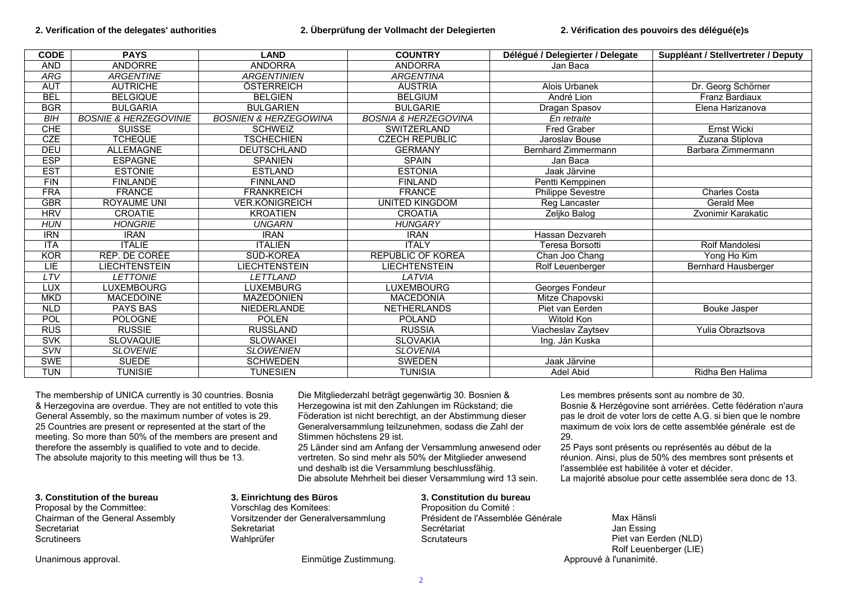| <b>CODE</b> | <b>PAYS</b>                      | <b>LAND</b>                      | <b>COUNTRY</b>                  | Délégué / Delegierter / Delegate | Suppléant / Stellvertreter / Deputy |
|-------------|----------------------------------|----------------------------------|---------------------------------|----------------------------------|-------------------------------------|
| <b>AND</b>  | <b>ANDORRE</b>                   | <b>ANDORRA</b>                   | <b>ANDORRA</b>                  | Jan Baca                         |                                     |
| ARG         | <b>ARGENTINE</b>                 | <b>ARGENTINIEN</b>               | <b>ARGENTINA</b>                |                                  |                                     |
| <b>AUT</b>  | <b>AUTRICHE</b>                  | ÖSTERREICH                       | <b>AUSTRIA</b>                  | Alois Urbanek                    | Dr. Georg Schörner                  |
| <b>BEL</b>  | <b>BELGIQUE</b>                  | <b>BELGIEN</b>                   | <b>BELGIUM</b>                  | André Lion                       | <b>Franz Bardiaux</b>               |
| <b>BGR</b>  | <b>BULGARIA</b>                  | <b>BULGARIEN</b>                 | <b>BULGARIE</b>                 | Dragan Spasov                    | Elena Harizanova                    |
| <b>BIH</b>  | <b>BOSNIE &amp; HERZEGOVINIE</b> | <b>BOSNIEN &amp; HERZEGOWINA</b> | <b>BOSNIA &amp; HERZEGOVINA</b> | En retraite                      |                                     |
| <b>CHE</b>  | <b>SUISSE</b>                    | <b>SCHWEIZ</b>                   | SWITZERLAND                     | <b>Fred Graber</b>               | <b>Ernst Wicki</b>                  |
| <b>CZE</b>  | <b>TCHEQUE</b>                   | <b>TSCHECHIEN</b>                | <b>CZECH REPUBLIC</b>           | Jaroslav Bouse                   | Zuzana Stiplova                     |
| <b>DEU</b>  | <b>ALLEMAGNE</b>                 | <b>DEUTSCHLAND</b>               | <b>GERMANY</b>                  | Bernhard Zimmermann              | Barbara Zimmermann                  |
| <b>ESP</b>  | <b>ESPAGNE</b>                   | <b>SPANIEN</b>                   | <b>SPAIN</b>                    | Jan Baca                         |                                     |
| <b>EST</b>  | <b>ESTONIE</b>                   | <b>ESTLAND</b>                   | <b>ESTONIA</b>                  | Jaak Järvine                     |                                     |
| <b>FIN</b>  | <b>FINLANDE</b>                  | <b>FINNLAND</b>                  | <b>FINLAND</b>                  | Pentti Kemppinen                 |                                     |
| <b>FRA</b>  | <b>FRANCE</b>                    | <b>FRANKREICH</b>                | <b>FRANCE</b>                   | Philippe Sevestre                | Charles Costa                       |
| <b>GBR</b>  | <b>ROYAUME UNI</b>               | VER.KÖNIGREICH                   | <b>UNITED KINGDOM</b>           | Reg Lancaster                    | Gerald Mee                          |
| <b>HRV</b>  | <b>CROATIE</b>                   | <b>KROATIEN</b>                  | <b>CROATIA</b>                  | Zeljko Balog                     | Zvonimir Karakatic                  |
| <b>HUN</b>  | <b>HONGRIE</b>                   | <b>UNGARN</b>                    | <b>HUNGARY</b>                  |                                  |                                     |
| <b>IRN</b>  | <b>IRAN</b>                      | <b>IRAN</b>                      | <b>IRAN</b>                     | Hassan Dezvareh                  |                                     |
| <b>ITA</b>  | <b>ITALIE</b>                    | <b>ITALIEN</b>                   | <b>ITALY</b>                    | Teresa Borsotti                  | Rolf Mandolesi                      |
| <b>KOR</b>  | RÉP. DE CORÉE                    | SÜD-KOREA                        | <b>REPUBLIC OF KOREA</b>        | Chan Joo Chang                   | Yong Ho Kim                         |
| LIE         | <b>LIECHTENSTEIN</b>             | <b>LIECHTENSTEIN</b>             | <b>LIECHTENSTEIN</b>            | Rolf Leuenberger                 | <b>Bernhard Hausberger</b>          |
| LTV         | <b>LETTONIE</b>                  | LETTLAND                         | LATVIA                          |                                  |                                     |
| LUX         | <b>LUXEMBOURG</b>                | <b>LUXEMBURG</b>                 | LUXEMBOURG                      | Georges Fondeur                  |                                     |
| <b>MKD</b>  | <b>MACEDOINE</b>                 | <b>MAZEDONIEN</b>                | <b>MACEDONIA</b>                | Mitze Chapovski                  |                                     |
| <b>NLD</b>  | <b>PAYS BAS</b>                  | <b>NIEDERLANDE</b>               | <b>NETHERLANDS</b>              | Piet van Eerden                  | Bouke Jasper                        |
| POL         | <b>POLOGNE</b>                   | <b>POLEN</b>                     | <b>POLAND</b>                   | <b>Witold Kon</b>                |                                     |
| <b>RUS</b>  | <b>RUSSIE</b>                    | <b>RUSSLAND</b>                  | <b>RUSSIA</b>                   | Viacheslav Zaytsev               | Yulia Obraztsova                    |
| <b>SVK</b>  | <b>SLOVAQUIE</b>                 | <b>SLOWAKEI</b>                  | <b>SLOVAKIA</b>                 | Ing. Ján Kuska                   |                                     |
| SVN         | <b>SLOVENIE</b>                  | <b>SLOWENIEN</b>                 | <b>SLOVENIA</b>                 |                                  |                                     |
| <b>SWE</b>  | <b>SUEDE</b>                     | <b>SCHWEDEN</b>                  | <b>SWEDEN</b>                   | Jaak Järvine                     |                                     |
| <b>TUN</b>  | <b>TUNISIE</b>                   | <b>TUNESIEN</b>                  | <b>TUNISIA</b>                  | Adel Abid                        | Ridha Ben Halima                    |

The membership of UNICA currently is 30 countries. Bosnia & Herzegovina are overdue. They are not entitled to vote this General Assembly, so the maximum number of votes is 29. 25 Countries are present or represented at the start of the meeting. So more than 50% of the members are present and therefore the assembly is qualified to vote and to decide. The absolute majority to this meeting will thus be 13.

Die Mitgliederzahl beträgt gegenwärtig 30. Bosnien & Herzegowina ist mit den Zahlungen im Rückstand; die Föderation ist nicht berechtigt, an der Abstimmung dieser Generalversammlung teilzunehmen, sodass die Zahl der Stimmen höchstens 29 ist.

25 Länder sind am Anfang der Versammlung anwesend oder vertreten. So sind mehr als 50% der Mitglieder anwesend und deshalb ist die Versammlung beschlussfähig. Die absolute Mehrheit bei dieser Versammlung wird 13 sein.

# **3. Constitution of the bureau**

Proposal by the Committee: Chairman of the General Assembly Secretariat **Scrutineers** 

#### **3. Einrichtung des Büros** Vorschlag des Komitees:

Vorsitzender der Generalversammlung Sekretariat Wahlprüfer

**3. Constitution du bureau**Proposition du Comité : Président de l'Assemblée Générale

Les membres présents sont au nombre de 30. Bosnie & Herzégovine sont arriérées. Cette fédération n'aura pas le droit de voter lors de cette A.G. si bien que le nombre maximum de voix lors de cette assemblée générale est de 29.

25 Pays sont présents ou représentés au début de la réunion. Ainsi, plus de 50% des membres sont présents et l'assemblée est habilitée à voter et décider. La majorité absolue pour cette assemblée sera donc de 13.

Secrétariat **Scrutateurs** 

Max Hänsli Jan Essing Piet van Eerden (NLD) Rolf Leuenberger (LIE)

Unanimous approval. **Einmütige Zustimmung.** Einmütige Zustimmung. Approuvé à l'unanimité.

2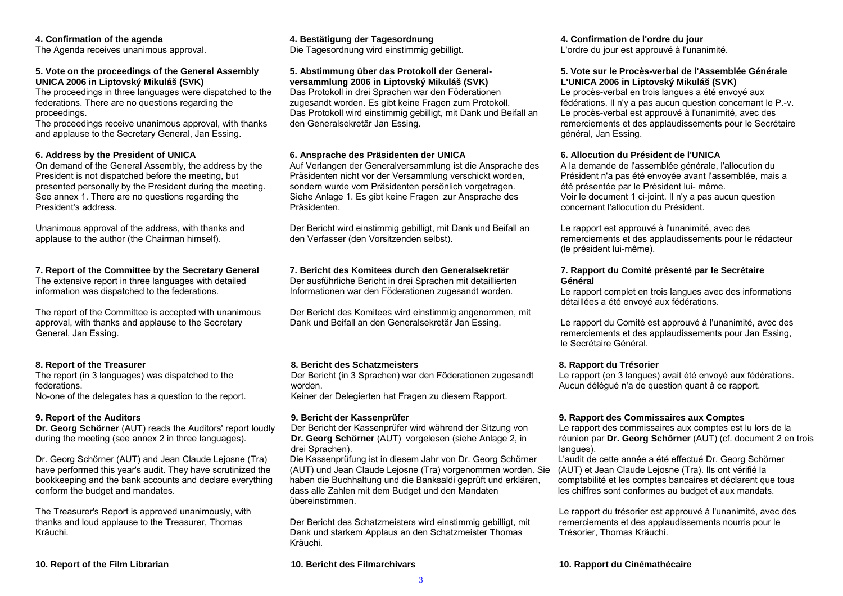#### **4. Confirmation of the agenda**

The Agenda receives unanimous approval.

#### **5. Vote on the proceedings of the General Assembly UNICA 2006 in Liptovský Mikuláš (SVK)**

The proceedings in three languages were dispatched to the federations. There are no questions regarding the proceedings.

The proceedings receive unanimous approval, with thanks and applause to the Secretary General, Jan Essing.

### **6. Address by the President of UNICA**

On demand of the General Assembly, the address by the President is not dispatched before the meeting, but presented personally by the President during the meeting. See annex 1. There are no questions regarding the President's address.

Unanimous approval of the address, with thanks and applause to the author (the Chairman himself).

# **7. Report of the Committee by the Secretary General**

The extensive report in three languages with detailed information was dispatched to the federations.

The report of the Committee is accepted with unanimous approval, with thanks and applause to the Secretary General, Jan Essing.

# **8. Report of the Treasurer**

The report (in 3 languages) was dispatched to the federations.

No-one of the delegates has a question to the report.

# **9. Report of the Auditors**

**Dr. Georg Schörner** (AUT) reads the Auditors' report loudly during the meeting (see annex 2 in three languages).

Dr. Georg Schörner (AUT) and Jean Claude Lejosne (Tra) have performed this year's audit. They have scrutinized the bookkeeping and the bank accounts and declare everything conform the budget and mandates.

The Treasurer's Report is approved unanimously, with thanks and loud applause to the Treasurer, Thomas Kräuchi.

**10. Report of the Film Librarian 10. Bericht des Filmarchivars 10. Rapport du Cinémathécaire** 

#### **4. Bestätigung der Tagesordnung**  Die Tagesordnung wird einstimmig gebilligt.

#### **5. Abstimmung über das Protokoll der Generalversammlung 2006 in Liptovský Mikuláš (SVK)**

Das Protokoll in drei Sprachen war den Föderationen zugesandt worden. Es gibt keine Fragen zum Protokoll. Das Protokoll wird einstimmig gebilligt, mit Dank und Beifall an den Generalsekretär Jan Essing.

# **6. Ansprache des Präsidenten der UNICA**

Auf Verlangen der Generalversammlung ist die Ansprache des Präsidenten nicht vor der Versammlung verschickt worden, sondern wurde vom Präsidenten persönlich vorgetragen. Siehe Anlage 1. Es gibt keine Fragen zur Ansprache des Präsidenten.

Der Bericht wird einstimmig gebilligt, mit Dank und Beifall an den Verfasser (den Vorsitzenden selbst).

# **7. Bericht des Komitees durch den Generalsekretär**

Der ausführliche Bericht in drei Sprachen mit detaillierten Informationen war den Föderationen zugesandt worden.

Der Bericht des Komitees wird einstimmig angenommen, mit Dank und Beifall an den Generalsekretär Jan Essing.

# **8. Bericht des Schatzmeisters**

Der Bericht (in 3 Sprachen) war den Föderationen zugesandt worden.

Keiner der Delegierten hat Fragen zu diesem Rapport.

# **9. Bericht der Kassenprüfer**

Der Bericht der Kassenprüfer wird während der Sitzung von **Dr. Georg Schörner** (AUT) vorgelesen (siehe Anlage 2, in drei Sprachen).

Die Kassenprüfung ist in diesem Jahr von Dr. Georg Schörner (AUT) und Jean Claude Lejosne (Tra) vorgenommen worden. Sie haben die Buchhaltung und die Banksaldi geprüft und erklären, dass alle Zahlen mit dem Budget und den Mandaten übereinstimmen.

Der Bericht des Schatzmeisters wird einstimmig gebilligt, mit Dank und starkem Applaus an den Schatzmeister Thomas Kräuchi.

**4. Confirmation de l'ordre du jour**  L'ordre du jour est approuvé à l'unanimité.

### **5. Vote sur le Procès-verbal de l'Assemblée Générale L'UNICA 2006 in Liptovský Mikuláš (SVK)**

Le procès-verbal en trois langues a été envoyé aux fédérations. Il n'y a pas aucun question concernant le P.-v. Le procès-verbal est approuvé à l'unanimité, avec des remerciements et des applaudissements pour le Secrétaire général, Jan Essing.

### **6. Allocution du Président de l'UNICA**

A la demande de l'assemblée générale, l'allocution du Président n'a pas été envoyée avant l'assemblée, mais a été présentée par le Président lui- même. Voir le document 1 ci-joint. Il n'y a pas aucun question concernant l'allocution du Président.

Le rapport est approuvé à l'unanimité, avec des remerciements et des applaudissements pour le rédacteur (le président lui-même).

### **7. Rapport du Comité présenté par le Secrétaire Général**

Le rapport complet en trois langues avec des informations détaillées a été envoyé aux fédérations.

Le rapport du Comité est approuvé à l'unanimité, avec des remerciements et des applaudissements pour Jan Essing, le Secrétaire Général.

# **8. Rapport du Trésorier**

Le rapport (en 3 langues) avait été envoyé aux fédérations. Aucun délégué n'a de question quant à ce rapport.

# **9. Rapport des Commissaires aux Comptes**

Le rapport des commissaires aux comptes est lu lors de la réunion par **Dr. Georg Schörner** (AUT) (cf. document 2 en trois langues).

L'audit de cette année a été effectué Dr. Georg Schörner (AUT) et Jean Claude Lejosne (Tra). Ils ont vérifié la comptabilité et les comptes bancaires et déclarent que tous les chiffres sont conformes au budget et aux mandats.

Le rapport du trésorier est approuvé à l'unanimité, avec des remerciements et des applaudissements nourris pour le Trésorier, Thomas Kräuchi.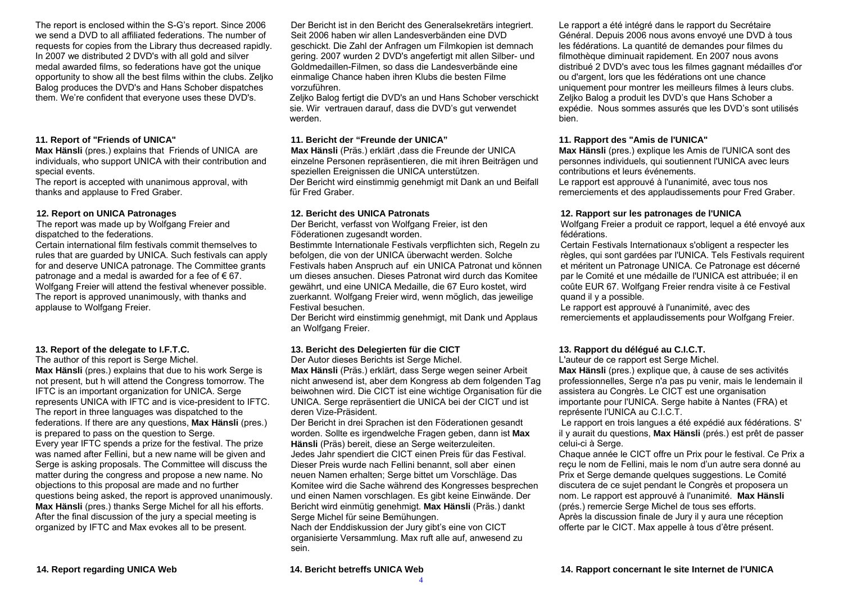The report is enclosed within the S-G's report. Since 2006 we send a DVD to all affiliated federations. The number of requests for copies from the Library thus decreased rapidly. In 2007 we distributed 2 DVD's with all gold and silver medal awarded films, so federations have got the unique opportunity to show all the best films within the clubs. Zeljko Balog produces the DVD's and Hans Schober dispatches them. We're confident that everyone uses these DVD's.

### **11. Report of "Friends of UNICA"**

**Max Hänsli** (pres.) explains that Friends of UNICA are individuals, who support UNICA with their contribution and special events.

The report is accepted with unanimous approval, with thanks and applause to Fred Graber.

# **12. Report on UNICA Patronages**

The report was made up by Wolfgang Freier and dispatched to the federations.

Certain international film festivals commit themselves to rules that are guarded by UNICA. Such festivals can apply for and deserve UNICA patronage. The Committee grants patronage and a medal is awarded for a fee of  $\epsilon$  67. Wolfgang Freier will attend the festival whenever possible. The report is approved unanimously, with thanks and applause to Wolfgang Freier.

# **13. Report of the delegate to I.F.T.C.**

The author of this report is Serge Michel. **Max Hänsli** (pres.) explains that due to his work Serge is not present, but h will attend the Congress tomorrow. The IFTC is an important organization for UNICA. Serge represents UNICA with IFTC and is vice-president to IFTC. The report in three languages was dispatched to the federations. If there are any questions, **Max Hänsli** (pres.) is prepared to pass on the question to Serge. Every year IFTC spends a prize for the festival. The prize was named after Fellini, but a new name will be given and Serge is asking proposals. The Committee will discuss the matter during the congress and propose a new name. No objections to this proposal are made and no further questions being asked, the report is approved unanimously. **Max Hänsli** (pres.) thanks Serge Michel for all his efforts. After the final discussion of the jury a special meeting is organized by IFTC and Max evokes all to be present.

Der Bericht ist in den Bericht des Generalsekretärs integriert. Seit 2006 haben wir allen Landesverbänden eine DVD geschickt. Die Zahl der Anfragen um Filmkopien ist demnach gering. 2007 wurden 2 DVD's angefertigt mit allen Silber- und Goldmedaillen-Filmen, so dass die Landesverbände eine einmalige Chance haben ihren Klubs die besten Filme vorzuführen.

Zeljko Balog fertigt die DVD's an und Hans Schober verschickt sie. Wir vertrauen darauf, dass die DVD's gut verwendet werden.

# **11. Bericht der "Freunde der UNICA"**

**Max Hänsli** (Präs.) erklärt ,dass die Freunde der UNICA einzelne Personen repräsentieren, die mit ihren Beiträgen und speziellen Ereignissen die UNICA unterstützen. Der Bericht wird einstimmig genehmigt mit Dank an und Beifall für Fred Graber.

# **12. Bericht des UNICA Patronats**

Der Bericht, verfasst von Wolfgang Freier, ist den Föderationen zugesandt worden.

Bestimmte Internationale Festivals verpflichten sich, Regeln zu befolgen, die von der UNICA überwacht werden. Solche Festivals haben Anspruch auf ein UNICA Patronat und können um dieses ansuchen. Dieses Patronat wird durch das Komitee gewährt, und eine UNICA Medaille, die 67 Euro kostet, wird zuerkannt. Wolfgang Freier wird, wenn möglich, das jeweilige Festival besuchen.

Der Bericht wird einstimmig genehmigt, mit Dank und Applaus an Wolfgang Freier.

# **13. Bericht des Delegierten für die CICT**

Der Autor dieses Berichts ist Serge Michel.

**Max Hänsli** (Präs.) erklärt, dass Serge wegen seiner Arbeit nicht anwesend ist, aber dem Kongress ab dem folgenden Tag beiwohnen wird. Die CICT ist eine wichtige Organisation für die UNICA. Serge repräsentiert die UNICA bei der CICT und ist deren Vize-Präsident.

Der Bericht in drei Sprachen ist den Föderationen gesandt worden. Sollte es irgendwelche Fragen geben, dann ist **Max Hänsli** (Präs) bereit, diese an Serge weiterzuleiten. Jedes Jahr spendiert die CICT einen Preis für das Festival. Dieser Preis wurde nach Fellini benannt, soll aber einen neuen Namen erhalten; Serge bittet um Vorschläge. Das Komitee wird die Sache während des Kongresses besprechen und einen Namen vorschlagen. Es gibt keine Einwände. Der Bericht wird einmütig genehmigt. **Max Hänsli** (Präs.) dankt Serge Michel für seine Bemühungen.

Nach der Enddiskussion der Jury gibt's eine von CICT organisierte Versammlung. Max ruft alle auf, anwesend zu sein.

Le rapport a été intégré dans le rapport du Secrétaire Général. Depuis 2006 nous avons envoyé une DVD à tous les fédérations. La quantité de demandes pour filmes du filmothèque diminuait rapidement. En 2007 nous avons distribué 2 DVD's avec tous les filmes gagnant médailles d'or ou d'argent, lors que les fédérations ont une chance uniquement pour montrer les meilleurs filmes à leurs clubs. Zeljko Balog a produit les DVD's que Hans Schober a expédie. Nous sommes assurés que les DVD's sont utilisés bien.

## **11. Rapport des "Amis de l'UNICA"**

**Max Hänsli** (pres.) explique les Amis de l'UNICA sont des personnes individuels, qui soutiennent l'UNICA avec leurs contributions et leurs événements.

Le rapport est approuvé à l'unanimité, avec tous nos remerciements et des applaudissements pour Fred Graber.

# **12. Rapport sur les patronages de l'UNICA**

Wolfgang Freier a produit ce rapport, lequel a été envoyé aux fédérations.

Certain Festivals Internationaux s'obligent a respecter les règles, qui sont gardées par l'UNICA. Tels Festivals requirent et méritent un Patronage UNICA. Ce Patronage est décerné par le Comité et une médaille de l'UNICA est attribuée; il en coûte EUR 67. Wolfgang Freier rendra visite à ce Festival quand il y a possible.

Le rapport est approuvé à l'unanimité, avec des remerciements et applaudissements pour Wolfgang Freier.

# **13. Rapport du délégué au C.I.C.T.**

L'auteur de ce rapport est Serge Michel.

**Max Hänsli** (pres.) explique que, à cause de ses activités professionnelles, Serge n'a pas pu venir, mais le lendemain il assistera au Congrès. Le CICT est une organisation importante pour l'UNICA. Serge habite à Nantes (FRA) et représente l'UNICA au C.I.C.T.

 Le rapport en trois langues a été expédié aux fédérations. S' il y aurait du questions, **Max Hänsli** (prés.) est prêt de passer celui-ci à Serge.

Chaque année le CICT offre un Prix pour le festival. Ce Prix a reçu le nom de Fellini, mais le nom d'un autre sera donné au Prix et Serge demande quelques suggestions. Le Comité discutera de ce sujet pendant le Congrès et proposera un nom. Le rapport est approuvé à l'unanimité. **Max Hänsli**  (prés.) remercie Serge Michel de tous ses efforts. Après la discussion finale de Jury il y aura une réception offerte par le CICT. Max appelle à tous d'être présent.

4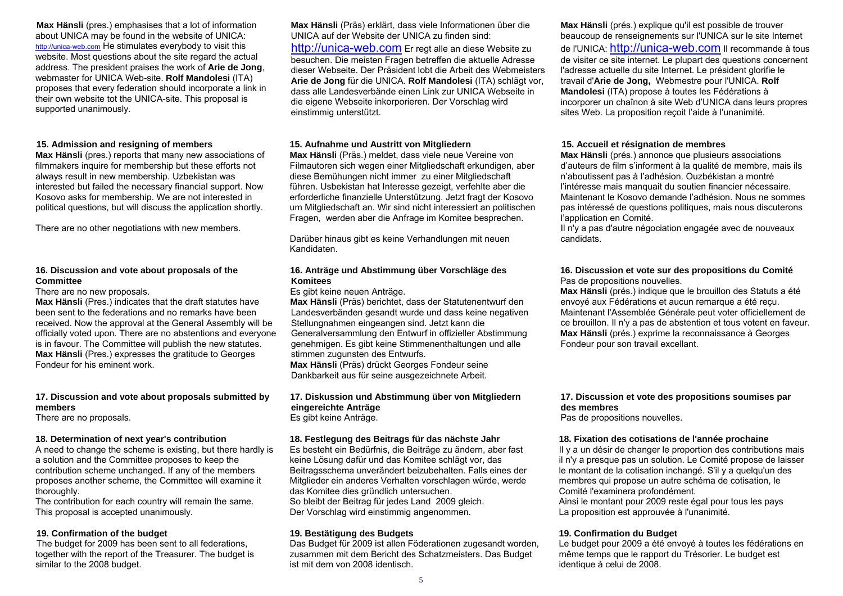**Max Hänsli** (pres.) emphasises that a lot of information about UNICA may be found in the website of UNICA: http://unica-web.com He stimulates everybody to visit this website. Most questions about the site regard the actual address. The president praises the work of **Arie de Jong**, webmaster for UNICA Web-site. **Rolf Mandolesi** (ITA) proposes that every federation should incorporate a link in their own website tot the UNICA-site. This proposal is supported unanimously.

### **15. Admission and resigning of members**

**Max Hänsli** (pres.) reports that many new associations of filmmakers inquire for membership but these efforts not always result in new membership. Uzbekistan was interested but failed the necessary financial support. Now Kosovo asks for membership. We are not interested in political questions, but will discuss the application shortly.

There are no other negotiations with new members.

# **16. Discussion and vote about proposals of the Committee**

There are no new proposals.

**Max Hänsli** (Pres.) indicates that the draft statutes have been sent to the federations and no remarks have been received. Now the approval at the General Assembly will be officially voted upon. There are no abstentions and everyone is in favour. The Committee will publish the new statutes. **Max Hänsli** (Pres.) expresses the gratitude to Georges Fondeur for his eminent work.

# **17. Discussion and vote about proposals submitted by members**

There are no proposals.

# **18. Determination of next year's contribution**

A need to change the scheme is existing, but there hardly is a solution and the Committee proposes to keep the contribution scheme unchanged. If any of the members proposes another scheme, the Committee will examine it thoroughly.

The contribution for each country will remain the same. This proposal is accepted unanimously.

#### **19. Confirmation of the budget**

The budget for 2009 has been sent to all federations, together with the report of the Treasurer. The budget is similar to the 2008 budget.

**Max Hänsli** (Präs) erklärt, dass viele Informationen über die UNICA auf der Website der UNICA zu finden sind: http://unica-web.com Er regt alle an diese Website zu besuchen. Die meisten Fragen betreffen die aktuelle Adresse dieser Webseite. Der Präsident lobt die Arbeit des Webmeisters **Arie de Jong** für die UNICA. **Rolf Mandolesi** (ITA) schlägt vor, dass alle Landesverbände einen Link zur UNICA Webseite in die eigene Webseite inkorporieren. Der Vorschlag wird einstimmig unterstützt.

### **15. Aufnahme und Austritt von Mitgliedern**

**Max Hänsli** (Präs.) meldet, dass viele neue Vereine von Filmautoren sich wegen einer Mitgliedschaft erkundigen, aber diese Bemühungen nicht immer zu einer Mitgliedschaft führen. Usbekistan hat Interesse gezeigt, verfehlte aber die erforderliche finanzielle Unterstützung. Jetzt fragt der Kosovo um Mitgliedschaft an. Wir sind nicht interessiert an politischen Fragen, werden aber die Anfrage im Komitee besprechen.

Darüber hinaus gibt es keine Verhandlungen mit neuen Kandidaten.

### **16. Anträge und Abstimmung über Vorschläge des Komitees**

Es gibt keine neuen Anträge.

**Max Hänsli** (Präs) berichtet, dass der Statutenentwurf den Landesverbänden gesandt wurde und dass keine negativen Stellungnahmen eingeangen sind. Jetzt kann die Generalversammlung den Entwurf in offizieller Abstimmung genehmigen. Es gibt keine Stimmenenthaltungen und alle stimmen zugunsten des Entwurfs.

**Max Hänsli** (Präs) drückt Georges Fondeur seine Dankbarkeit aus für seine ausgezeichnete Arbeit.

#### **17. Diskussion und Abstimmung über von Mitgliedern eingereichte Anträge**  Es gibt keine Anträge.

#### **18. Festlegung des Beitrags für das nächste Jahr**

Es besteht ein Bedürfnis, die Beiträge zu ändern, aber fast keine Lösung dafür und das Komitee schlägt vor, das Beitragsschema unverändert beizubehalten. Falls eines der Mitglieder ein anderes Verhalten vorschlagen würde, werde das Komitee dies gründlich untersuchen. So bleibt der Beitrag für jedes Land 2009 gleich. Der Vorschlag wird einstimmig angenommen.

#### **19. Bestätigung des Budgets**

Das Budget für 2009 ist allen Föderationen zugesandt worden, zusammen mit dem Bericht des Schatzmeisters. Das Budget ist mit dem von 2008 identisch.

**Max Hänsli** (prés.) explique qu'il est possible de trouver beaucoup de renseignements sur l'UNICA sur le site Internet de l'UNICA: http://unica-web.com Il recommande à tous de visiter ce site internet. Le plupart des questions concernent l'adresse actuelle du site Internet. Le président glorifie le travail d'**Arie de Jong,** Webmestre pour l'UNICA. **Rolf Mandolesi** (ITA) propose à toutes les Fédérations à incorporer un chaînon à site Web d'UNICA dans leurs propres sites Web. La proposition reçoit l'aide à l'unanimité.

# **15. Accueil et résignation de membres**

**Max Hänsli** (prés.) annonce que plusieurs associations d'auteurs de film s'informent à la qualité de membre, mais ils <sup>n</sup>'aboutissent pas à l'adhésion. Ouzbékistan a montré l'intéresse mais manquait du soutien financier nécessaire. Maintenant le Kosovo demande l'adhésion. Nous ne sommes pas intéressé de questions politiques, mais nous discuterons l'application en Comité.

Il n'y a pas d'autre négociation engagée avec de nouveaux candidats.

#### **16. Discussion et vote sur des propositions du Comité** Pas de propositions nouvelles.

**Max Hänsli** (prés.) indique que le brouillon des Statuts a été envoyé aux Fédérations et aucun remarque a été reçu. Maintenant l'Assemblée Générale peut voter officiellement de ce brouillon. Il n'y a pas de abstention et tous votent en faveur. **Max Hänsli** (prés.) exprime la reconnaissance à Georges Fondeur pour son travail excellant.

# **17. Discussion et vote des propositions soumises par des membres**

Pas de propositions nouvelles.

# **18. Fixation des cotisations de l'année prochaine**

Il y a un désir de changer le proportion des contributions mais il n'y a presque pas un solution. Le Comité propose de laisser le montant de la cotisation inchangé. S'il y a quelqu'un des membres qui propose un autre schéma de cotisation, le Comité l'examinera profondément.

Ainsi le montant pour 2009 reste égal pour tous les pays La proposition est approuvée à l'unanimité.

# **19. Confirmation du Budget**

Le budget pour 2009 a été envoyé à toutes les fédérations en même temps que le rapport du Trésorier. Le budget est identique à celui de 2008.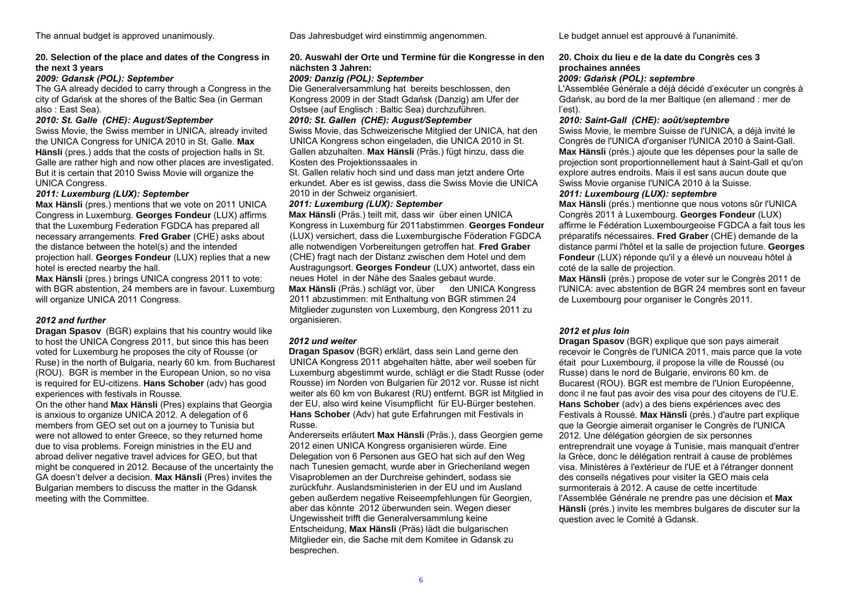## **20. Selection of the place and dates of the Congress in the next 3 years**

*2009: Gdansk (POL): September* 

The GA already decided to carry through a Congress in the city of Gdańsk at the shores of the Baltic Sea (in German also : East Sea).

#### *2010: St. Galle (CHE): August/September*

Swiss Movie, the Swiss member in UNICA, already invited the UNICA Congress for UNICA 2010 in St. Galle. **Max Hänsli** (pres.) adds that the costs of projection halls in St. Galle are rather high and now other places are investigated. But it is certain that 2010 Swiss Movie will organize the UNICA Congress.

#### *2011: Luxemburg (LUX): September*

**Max Hänsli** (pres.) mentions that we vote on 2011 UNICA Congress in Luxemburg. **Georges Fondeur** (LUX) affirms that the Luxemburg Federation FGDCA has prepared all necessary arrangements. **Fred Graber** (CHE) asks about the distance between the hotel(s) and the intended projection hall. **Georges Fondeur** (LUX) replies that a new hotel is erected nearby the hall.

**Max Hänsli** (pres.) brings UNICA congress 2011 to vote: with BGR abstention, 24 members are in favour. Luxemburg will organize UNICA 2011 Congress.

# *2012 and further*

**Dragan Spasov** (BGR) explains that his country would like to host the UNICA Congress 2011, but since this has been voted for Luxemburg he proposes the city of Rousse (or Ruse) in the north of Bulgaria, nearly 60 km. from Bucharest (ROU). BGR is member in the European Union, so no visa is required for EU-citizens. **Hans Schober** (adv) has good experiences with festivals in Rousse.

On the other hand **Max Hänsli** (Pres) explains that Georgia is anxious to organize UNICA 2012. A delegation of 6 members from GEO set out on a journey to Tunisia but were not allowed to enter Greece, so they returned home due to visa problems. Foreign ministries in the EU and abroad deliver negative travel advices for GEO, but that might be conquered in 2012. Because of the uncertainty the GA doesn't delver a decision. **Max Hänsli** (Pres) invites the Bulgarian members to discuss the matter in the Gdansk meeting with the Committee.

The annual budget is approved unanimously. Das Jahresbudget wird einstimmig angenommen. Le budget annuel est approuvé à l'unanimité.

#### **20. Auswahl der Orte und Termine für die Kongresse in den nächsten 3 Jahren:**

#### *2009: Danzig (POL): September*

Die Generalversammlung hat bereits beschlossen, den Kongress 2009 in der Stadt Gdańsk (Danzig) am Ufer der Ostsee (auf Englisch : Baltic Sea) durchzuführen.

#### *2010: St. Gallen (CHE): August/September*

Swiss Movie, das Schweizerische Mitglied der UNICA, hat den UNICA Kongress schon eingeladen, die UNICA 2010 in St. Gallen abzuhalten. **Max Hänsli** (Präs.) fügt hinzu, dass die Kosten des Projektionssaales in

St. Gallen relativ hoch sind und dass man jetzt andere Orte erkundet. Aber es ist gewiss, dass die Swiss Movie die UNICA 2010 in der Schweiz organisiert.

#### *2011: Luxemburg (LUX): September*

**Max Hänsli** (Präs.) teilt mit, dass wir über einen UNICA Kongress in Luxemburg für 2011abstimmen. **Georges Fondeur** (LUX) versichert, dass die Luxemburgische Föderation FGDCA alle notwendigen Vorbereitungen getroffen hat. **Fred Graber** (CHE) fragt nach der Distanz zwischen dem Hotel und dem Austragungsort. **Georges Fondeur** (LUX) antwortet, dass ein neues Hotel in der Nähe des Saales gebaut wurde. Max Hänsli (Präs.) schlägt vor, über den UNICA Kongress 2011 abzustimmen: mit Enthaltung von BGR stimmen 24 Mitglieder zugunsten von Luxemburg, den Kongress 2011 zu organisieren.

#### *2012 und weiter*

**Dragan Spasov** (BGR) erklärt, dass sein Land gerne den UNICA Kongress 2011 abgehalten hätte, aber weil soeben für Luxemburg abgestimmt wurde, schlägt er die Stadt Russe (oder Rousse) im Norden von Bulgarien für 2012 vor. Russe ist nicht weiter als 60 km von Bukarest (RU) entfernt. BGR ist Mitglied in der EU, also wird keine Visumpflicht für EU-Bürger bestehen. **Hans Schober** (Adv) hat gute Erfahrungen mit Festivals in Russe.

Andererseits erläutert **Max Hänsli** (Präs.), dass Georgien gerne 2012 einen UNICA Kongress organisieren würde. Eine Delegation von 6 Personen aus GEO hat sich auf den Weg nach Tunesien gemacht, wurde aber in Griechenland wegen Visaproblemen an der Durchreise gehindert, sodass sie zurückfuhr. Auslandsministerien in der EU und im Ausland geben außerdem negative Reiseempfehlungen für Georgien, aber das könnte 2012 überwunden sein. Wegen dieser Ungewissheit trifft die Generalversammlung keine Entscheidung, **Max Hänsli** (Präs) lädt die bulgarischen Mitglieder ein, die Sache mit dem Komitee in Gdansk zu besprechen.

#### **20. Choix du lieu e de la date du Congrès ces 3 prochaines années**

#### *2009: Gdańsk (POL): septembre*

L'Assemblée Générale a déjà décidé d'exécuter un congrès à Gdańsk, au bord de la mer Baltique (en allemand : mer de l'est).

#### *2010: Saint-Gall (CHE): août/septembre*

Swiss Movie, le membre Suisse de l'UNICA, a déjà invité le Congrès de l'UNICA d'organiser l'UNICA 2010 à Saint-Gall. **Max Hänsli** (prés.) ajoute que les dépenses pour la salle de projection sont proportionnellement haut à Saint-Gall et qu'on explore autres endroits. Mais il est sans aucun doute que Swiss Movie organise l'UNICA 2010 à la Suisse.

# *2011: Luxembourg (LUX): septembre*

**Max Hänsli** (prés.) mentionne que nous votons sûr l'UNICA Congrès 2011 à Luxembourg. **Georges Fondeur** (LUX) affirme le Fédération Luxembourgeoise FGDCA a fait tous les préparatifs nécessaires. **Fred Graber** (CHE) demande de la distance parmi l'hôtel et la salle de projection future. **Georges Fondeur** (LUX) réponde qu'il y a élevé un nouveau hôtel à coté de la salle de projection.

**Max Hänsli** (prés.) propose de voter sur le Congrès 2011 de l'UNICA: avec abstention de BGR 24 membres sont en faveur de Luxembourg pour organiser le Congrès 2011.

#### *2012 et plus loin*

**Dragan Spasov** (BGR) explique que son pays aimerait recevoir le Congrès de l'UNICA 2011, mais parce que la vote était pour Luxembourg, il propose la ville de Roussé (ou Russe) dans le nord de Bulgarie, environs 60 km. de Bucarest (ROU). BGR est membre de l'Union Européenne, donc il ne faut pas avoir des visa pour des citoyens de l'U.E. **Hans Schober** (adv) a des biens expériences avec des Festivals à Roussé. **Max Hänsli** (prés.) d'autre part explique que la Georgie aimerait organiser le Congrès de l'UNICA 2012. Une délégation géorgien de six personnes entreprendrait une voyage à Tunisie, mais manquait d'entrer la Grèce, donc le délégation rentrait à cause de problèmes visa. Ministères à l'extérieur de l'UE et à l'étranger donnent des conseils négatives pour visiter la GEO mais cela surmonterais à 2012. A cause de cette incertitude l'Assemblée Générale ne prendre pas une décision et **Max Hänsli** (prés.) invite les membres bulgares de discuter sur la question avec le Comité à Gdansk.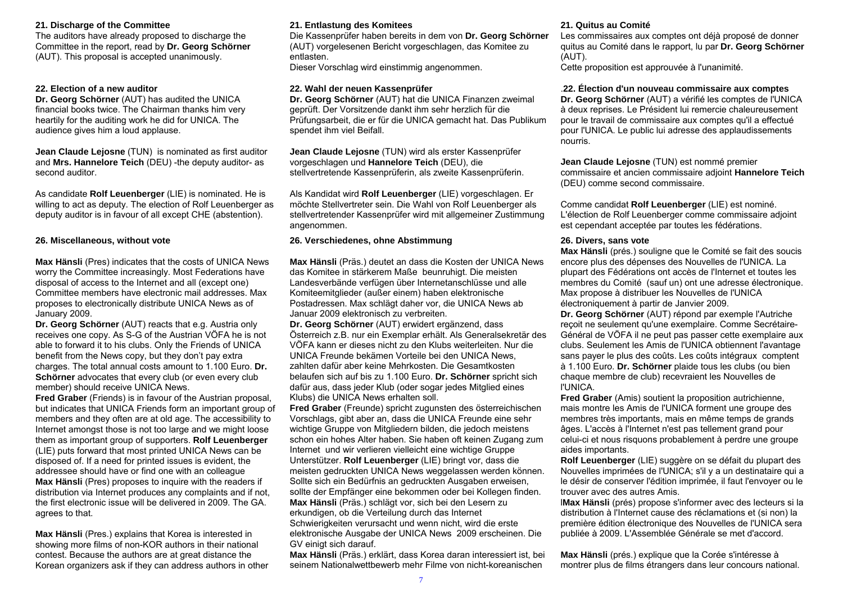### **21. Discharge of the Committee**

The auditors have already proposed to discharge the Committee in the report, read by **Dr. Georg Schörner** (AUT). This proposal is accepted unanimously.

# **22. Election of a new auditor**

**Dr. Georg Schörner** (AUT) has audited the UNICA financial books twice. The Chairman thanks him very heartily for the auditing work he did for UNICA. The audience gives him a loud applause.

**Jean Claude Lejosne** (TUN) is nominated as first auditor and **Mrs. Hannelore Teich** (DEU) -the deputy auditor- as second auditor.

As candidate **Rolf Leuenberger** (LIE) is nominated. He is willing to act as deputy. The election of Rolf Leuenberger as deputy auditor is in favour of all except CHE (abstention).

### **26. Miscellaneous, without vote**

**Max Hänsli** (Pres) indicates that the costs of UNICA News worry the Committee increasingly. Most Federations have disposal of access to the Internet and all (except one) Committee members have electronic mail addresses. Max proposes to electronically distribute UNICA News as of January 2009.

**Dr. Georg Schörner** (AUT) reacts that e.g. Austria only receives one copy. As S-G of the Austrian VÖFA he is not able to forward it to his clubs. Only the Friends of UNICA benefit from the News copy, but they don't pay extra charges. The total annual costs amount to 1.100 Euro. **Dr. Schörner** advocates that every club (or even every club member) should receive UNICA News.

**Fred Graber** (Friends) is in favour of the Austrian proposal. but indicates that UNICA Friends form an important group of members and they often are at old age. The accessibility to Internet amongst those is not too large and we might loose them as important group of supporters. **Rolf Leuenberger** (LIE) puts forward that most printed UNICA News can be disposed of. If a need for printed issues is evident, the addressee should have or find one with an colleague **Max Hänsli** (Pres) proposes to inquire with the readers if distribution via Internet produces any complaints and if not, the first electronic issue will be delivered in 2009. The GA. agrees to that.

**Max Hänsli** (Pres.) explains that Korea is interested in showing more films of non-KOR authors in their national contest. Because the authors are at great distance the Korean organizers ask if they can address authors in other

# **21. Entlastung des Komitees**

Die Kassenprüfer haben bereits in dem von **Dr. Georg Schörner** (AUT) vorgelesenen Bericht vorgeschlagen, das Komitee zu entlasten. Dieser Vorschlag wird einstimmig angenommen.

# **22. Wahl der neuen Kassenprüfer**

**Dr. Georg Schörner** (AUT) hat die UNICA Finanzen zweimal geprüft. Der Vorsitzende dankt ihm sehr herzlich für die Prüfungsarbeit, die er für die UNICA gemacht hat. Das Publikum spendet ihm viel Beifall.

**Jean Claude Lejosne** (TUN) wird als erster Kassenprüfer vorgeschlagen und **Hannelore Teich** (DEU), die stellvertretende Kassenprüferin, als zweite Kassenprüferin.

Als Kandidat wird **Rolf Leuenberger** (LIE) vorgeschlagen. Er möchte Stellvertreter sein. Die Wahl von Rolf Leuenberger als stellvertretender Kassenprüfer wird mit allgemeiner Zustimmung angenommen.

# **26. Verschiedenes, ohne Abstimmung**

**Max Hänsli** (Präs.) deutet an dass die Kosten der UNICA News das Komitee in stärkerem Maße beunruhigt. Die meisten Landesverbände verfügen über Internetanschlüsse und alle Komiteemitglieder (außer einem) haben elektronische Postadressen. Max schlägt daher vor, die UNICA News ab Januar 2009 elektronisch zu verbreiten.

**Dr. Georg Schörner** (AUT) erwidert ergänzend, dass Österreich z.B. nur ein Exemplar erhält. Als Generalsekretär des VÖFA kann er dieses nicht zu den Klubs weiterleiten. Nur die UNICA Freunde bekämen Vorteile bei den UNICA News, zahlten dafür aber keine Mehrkosten. Die Gesamtkosten belaufen sich auf bis zu 1.100 Euro. **Dr. Schörner** spricht sich dafür aus, dass jeder Klub (oder sogar jedes Mitglied eines Klubs) die UNICA News erhalten soll.

**Fred Graber** (Freunde) spricht zugunsten des österreichischen Vorschlags, gibt aber an, dass die UNICA Freunde eine sehr wichtige Gruppe von Mitgliedern bilden, die jedoch meistens schon ein hohes Alter haben. Sie haben oft keinen Zugang zum Internet und wir verlieren vielleicht eine wichtige Gruppe Unterstützer. **Rolf Leuenberger** (LIE) bringt vor, dass die meisten gedruckten UNICA News weggelassen werden können. Sollte sich ein Bedürfnis an gedruckten Ausgaben erweisen, sollte der Empfänger eine bekommen oder bei Kollegen finden. **Max Hänsli** (Präs.) schlägt vor, sich bei den Lesern zu erkundigen, ob die Verteilung durch das Internet Schwierigkeiten verursacht und wenn nicht, wird die erste elektronische Ausgabe der UNICA News 2009 erscheinen. Die GV einigt sich darauf.

**Max Hänsli** (Präs.) erklärt, dass Korea daran interessiert ist, bei seinem Nationalwettbewerb mehr Filme von nicht-koreanischen

### **21. Quitus au Comité**

Les commissaires aux comptes ont déjà proposé de donner quitus au Comité dans le rapport, lu par **Dr. Georg Schörner** (AUT).

Cette proposition est approuvée à l'unanimité.

# .**22. Élection d'un nouveau commissaire aux comptes**

**Dr. Georg Schörner** (AUT) a vérifié les comptes de l'UNICA à deux reprises. Le Président lui remercie chaleureusement pour le travail de commissaire aux comptes qu'il a effectué pour l'UNICA. Le public lui adresse des applaudissements nourris.

**Jean Claude Lejosne** (TUN) est nommé premier commissaire et ancien commissaire adjoint **Hannelore Teich** (DEU) comme second commissaire.

Comme candidat **Rolf Leuenberger** (LIE) est nominé. L'élection de Rolf Leuenberger comme commissaire adjoint est cependant acceptée par toutes les fédérations.

# **26. Divers, sans vote**

**Max Hänsli** (prés.) souligne que le Comité se fait des soucis encore plus des dépenses des Nouvelles de l'UNICA. La plupart des Fédérations ont accès de l'Internet et toutes les membres du Comité (sauf un) ont une adresse électronique. Max propose à distribuer les Nouvelles de l'UNICA électroniquement à partir de Janvier 2009.

**Dr. Georg Schörner** (AUT) répond par exemple l'Autriche reçoit ne seulement qu'une exemplaire. Comme Secrétaire-Général de VÖFA il ne peut pas passer cette exemplaire aux clubs. Seulement les Amis de l'UNICA obtiennent l'avantage sans payer le plus des coûts. Les coûts intégraux comptent à 1.100 Euro. **Dr. Schörner** plaide tous les clubs (ou bien chaque membre de club) recevraient les Nouvelles de l'UNICA.

**Fred Graber** (Amis) soutient la proposition autrichienne, mais montre les Amis de l'UNICA forment une groupe des membres très importants, mais en même temps de grands âges. L'accès à l'Internet n'est pas tellement grand pour celui-ci et nous risquons probablement à perdre une groupe aides importants.

**Rolf Leuenberger** (LIE) suggère on se défait du plupart des Nouvelles imprimées de l'UNICA; s'il y a un destinataire qui a le désir de conserver l'édition imprimée, il faut l'envoyer ou le trouver avec des autres Amis.

l**Max Hänsli** (prés) propose s'informer avec des lecteurs si la distribution à l'Internet cause des réclamations et (si non) la première édition électronique des Nouvelles de l'UNICA sera publiée à 2009. L'Assemblée Générale se met d'accord.

**Max Hänsli** (prés.) explique que la Corée s'intéresse à montrer plus de films étrangers dans leur concours national.